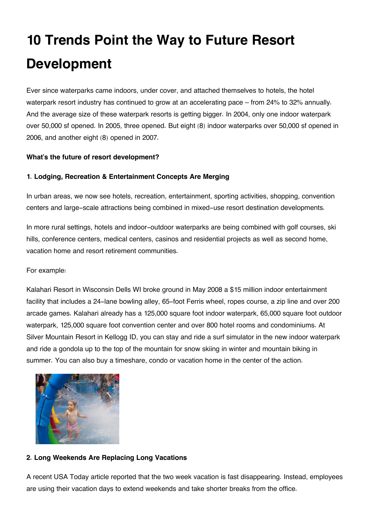# **10 Trends Point the Way to Future Resort Development**

Ever since waterparks came indoors, under cover, and attached themselves to hotels, the hotel waterpark resort industry has continued to grow at an accelerating pace – from 24% to 32% annually. And the average size of these waterpark resorts is getting bigger. In 2004, only one indoor waterpark over 50,000 sf opened. In 2005, three opened. But eight (8) indoor waterparks over 50,000 sf opened in 2006, and another eight (8) opened in 2007.

# **What's the future of resort development?**

## **1. Lodging, Recreation & Entertainment Concepts Are Merging**

In urban areas, we now see hotels, recreation, entertainment, sporting activities, shopping, convention centers and large-scale attractions being combined in mixed-use resort destination developments.

In more rural settings, hotels and indoor-outdoor waterparks are being combined with golf courses, ski hills, conference centers, medical centers, casinos and residential projects as well as second home, vacation home and resort retirement communities.

#### For example:

Kalahari Resort in Wisconsin Dells WI broke ground in May 2008 a \$15 million indoor entertainment facility that includes a 24-lane bowling alley, 65-foot Ferris wheel, ropes course, a zip line and over 200 arcade games. Kalahari already has a 125,000 square foot indoor waterpark, 65,000 square foot outdoor waterpark, 125,000 square foot convention center and over 800 hotel rooms and condominiums. At Silver Mountain Resort in Kellogg ID, you can stay and ride a surf simulator in the new indoor waterpark and ride a gondola up to the top of the mountain for snow skiing in winter and mountain biking in summer. You can also buy a timeshare, condo or vacation home in the center of the action.



#### **2. Long Weekends Are Replacing Long Vacations**

A recent USA Today article reported that the two week vacation is fast disappearing. Instead, employees are using their vacation days to extend weekends and take shorter breaks from the office.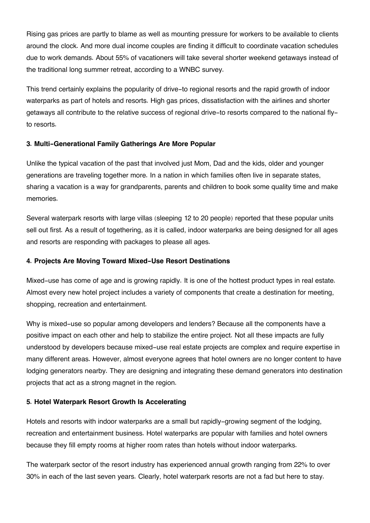Rising gas prices are partly to blame as well as mounting pressure for workers to be available to clients around the clock. And more dual income couples are finding it difficult to coordinate vacation schedules due to work demands. About 55% of vacationers will take several shorter weekend getaways instead of the traditional long summer retreat, according to a WNBC survey.

This trend certainly explains the popularity of drive-to regional resorts and the rapid growth of indoor waterparks as part of hotels and resorts. High gas prices, dissatisfaction with the airlines and shorter getaways all contribute to the relative success of regional drive-to resorts compared to the national flyto resorts.

# **3. Multi-Generational Family Gatherings Are More Popular**

Unlike the typical vacation of the past that involved just Mom, Dad and the kids, older and younger generations are traveling together more. In a nation in which families often live in separate states, sharing a vacation is a way for grandparents, parents and children to book some quality time and make memories.

Several waterpark resorts with large villas (sleeping 12 to 20 people) reported that these popular units sell out first. As a result of togethering, as it is called, indoor waterparks are being designed for all ages and resorts are responding with packages to please all ages.

# **4. Projects Are Moving Toward Mixed-Use Resort Destinations**

Mixed-use has come of age and is growing rapidly. It is one of the hottest product types in real estate. Almost every new hotel project includes a variety of components that create a destination for meeting, shopping, recreation and entertainment.

Why is mixed-use so popular among developers and lenders? Because all the components have a positive impact on each other and help to stabilize the entire project. Not all these impacts are fully understood by developers because mixed-use real estate projects are complex and require expertise in many different areas. However, almost everyone agrees that hotel owners are no longer content to have lodging generators nearby. They are designing and integrating these demand generators into destination projects that act as a strong magnet in the region.

# **5. Hotel Waterpark Resort Growth Is Accelerating**

Hotels and resorts with indoor waterparks are a small but rapidly-growing segment of the lodging, recreation and entertainment business. Hotel waterparks are popular with families and hotel owners because they fill empty rooms at higher room rates than hotels without indoor waterparks.

The waterpark sector of the resort industry has experienced annual growth ranging from 22% to over 30% in each of the last seven years. Clearly, hotel waterpark resorts are not a fad but here to stay.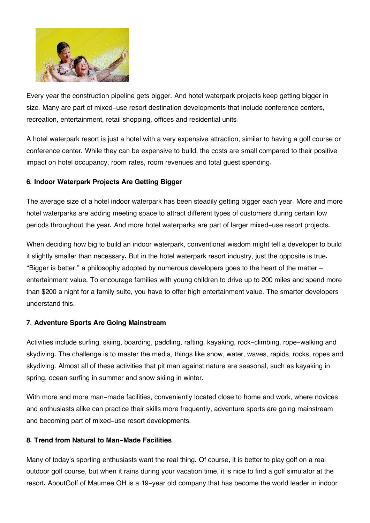

Every year the construction pipeline gets bigger. And hotel waterpark projects keep getting bigger in size. Many are part of mixed-use resort destination developments that include conference centers, recreation, entertainment, retail shopping, offices and residential units.

A hotel waterpark resort is just a hotel with a very expensive attraction, similar to having a golf course or conference center. While they can be expensive to build, the costs are small compared to their positive impact on hotel occupancy, room rates, room revenues and total guest spending.

# **6. Indoor Waterpark Projects Are Getting Bigger**

The average size of a hotel indoor waterpark has been steadily getting bigger each year. More and more hotel waterparks are adding meeting space to attract different types of customers during certain low periods throughout the year. And more hotel waterparks are part of larger mixed-use resort projects.

When deciding how big to build an indoor waterpark, conventional wisdom might tell a developer to build it slightly smaller than necessary. But in the hotel waterpark resort industry, just the opposite is true. "Bigger is better," a philosophy adopted by numerous developers goes to the heart of the matter – entertainment value. To encourage families with young children to drive up to 200 miles and spend more than \$200 a night for a family suite, you have to offer high entertainment value. The smarter developers understand this.

# **7. Adventure Sports Are Going Mainstream**

Activities include surfing, skiing, boarding, paddling, rafting, kayaking, rock-climbing, rope-walking and skydiving. The challenge is to master the media, things like snow, water, waves, rapids, rocks, ropes and skydiving. Almost all of these activities that pit man against nature are seasonal, such as kayaking in spring, ocean surfing in summer and snow skiing in winter.

With more and more man-made facilities, conveniently located close to home and work, where novices and enthusiasts alike can practice their skills more frequently, adventure sports are going mainstream and becoming part of mixed-use resort developments.

# **8. Trend from Natural to Man-Made Facilities**

Many of today's sporting enthusiasts want the real thing. Of course, it is better to play golf on a real outdoor golf course, but when it rains during your vacation time, it is nice to find a golf simulator at the resort. AboutGolf of Maumee OH is a 19-year old company that has become the world leader in indoor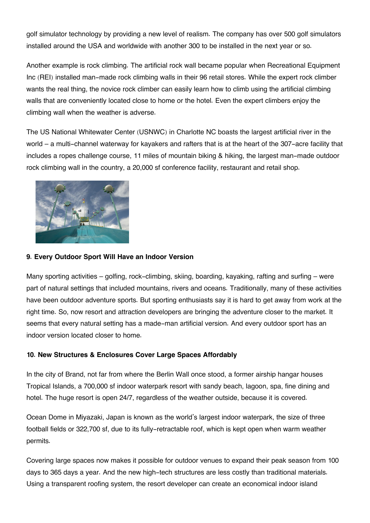golf simulator technology by providing a new level of realism. The company has over 500 golf simulators installed around the USA and worldwide with another 300 to be installed in the next year or so.

Another example is rock climbing. The artificial rock wall became popular when Recreational Equipment Inc (REI) installed man-made rock climbing walls in their 96 retail stores. While the expert rock climber wants the real thing, the novice rock climber can easily learn how to climb using the artificial climbing walls that are conveniently located close to home or the hotel. Even the expert climbers enjoy the climbing wall when the weather is adverse.

The US National Whitewater Center (USNWC) in Charlotte NC boasts the largest artificial river in the world – a multi-channel waterway for kayakers and rafters that is at the heart of the 307-acre facility that includes a ropes challenge course, 11 miles of mountain biking & hiking, the largest man-made outdoor rock climbing wall in the country, a 20,000 sf conference facility, restaurant and retail shop.



## **9. Every Outdoor Sport Will Have an Indoor Version**

Many sporting activities – golfing, rock-climbing, skiing, boarding, kayaking, rafting and surfing – were part of natural settings that included mountains, rivers and oceans. Traditionally, many of these activities have been outdoor adventure sports. But sporting enthusiasts say it is hard to get away from work at the right time. So, now resort and attraction developers are bringing the adventure closer to the market. It seems that every natural setting has a made-man artificial version. And every outdoor sport has an indoor version located closer to home.

# **10. New Structures & Enclosures Cover Large Spaces Affordably**

In the city of Brand, not far from where the Berlin Wall once stood, a former airship hangar houses Tropical Islands, a 700,000 sf indoor waterpark resort with sandy beach, lagoon, spa, fine dining and hotel. The huge resort is open 24/7, regardless of the weather outside, because it is covered.

Ocean Dome in Miyazaki, Japan is known as the world's largest indoor waterpark, the size of three football fields or 322,700 sf, due to its fully-retractable roof, which is kept open when warm weather permits.

Covering large spaces now makes it possible for outdoor venues to expand their peak season from 100 days to 365 days a year. And the new high-tech structures are less costly than traditional materials. Using a transparent roofing system, the resort developer can create an economical indoor island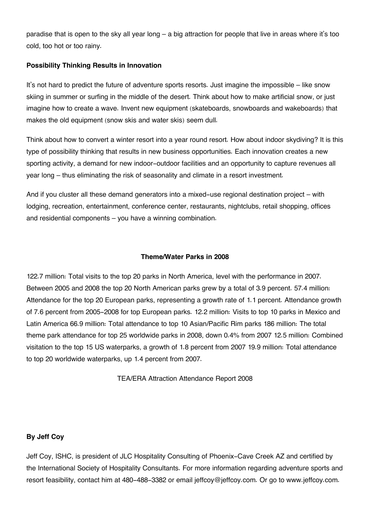paradise that is open to the sky all year long – a big attraction for people that live in areas where it's too cold, too hot or too rainy.

## **Possibility Thinking Results in Innovation**

It's not hard to predict the future of adventure sports resorts. Just imagine the impossible – like snow skiing in summer or surfing in the middle of the desert. Think about how to make artificial snow, or just imagine how to create a wave. Invent new equipment (skateboards, snowboards and wakeboards) that makes the old equipment (snow skis and water skis) seem dull.

Think about how to convert a winter resort into a year round resort. How about indoor skydiving? It is this type of possibility thinking that results in new business opportunities. Each innovation creates a new sporting activity, a demand for new indoor-outdoor facilities and an opportunity to capture revenues all year long – thus eliminating the risk of seasonality and climate in a resort investment.

And if you cluster all these demand generators into a mixed-use regional destination project – with lodging, recreation, entertainment, conference center, restaurants, nightclubs, retail shopping, offices and residential components – you have a winning combination.

## **Theme/Water Parks in 2008**

122.7 million: Total visits to the top 20 parks in North America, level with the performance in 2007. Between 2005 and 2008 the top 20 North American parks grew by a total of 3.9 percent. 57.4 million: Attendance for the top 20 European parks, representing a growth rate of 1.1 percent. Attendance growth of 7.6 percent from 2005-2008 for top European parks. 12.2 million: Visits to top 10 parks in Mexico and Latin America 66.9 million: Total attendance to top 10 Asian/Pacific Rim parks 186 million: The total theme park attendance for top 25 worldwide parks in 2008, down 0.4% from 2007 12.5 million: Combined visitation to the top 15 US waterparks, a growth of 1.8 percent from 2007 19.9 million: Total attendance to top 20 worldwide waterparks, up 1.4 percent from 2007.

TEA/ERA Attraction Attendance Report 2008

#### **By Jeff Coy**

Jeff Coy, ISHC, is president of JLC Hospitality Consulting of Phoenix-Cave Creek AZ and certified by the International Society of Hospitality Consultants. For more information regarding adventure sports and resort feasibility, contact him at 480-488-3382 or email jeffcoy@jeffcoy.com. Or go to www.jeffcoy.com.